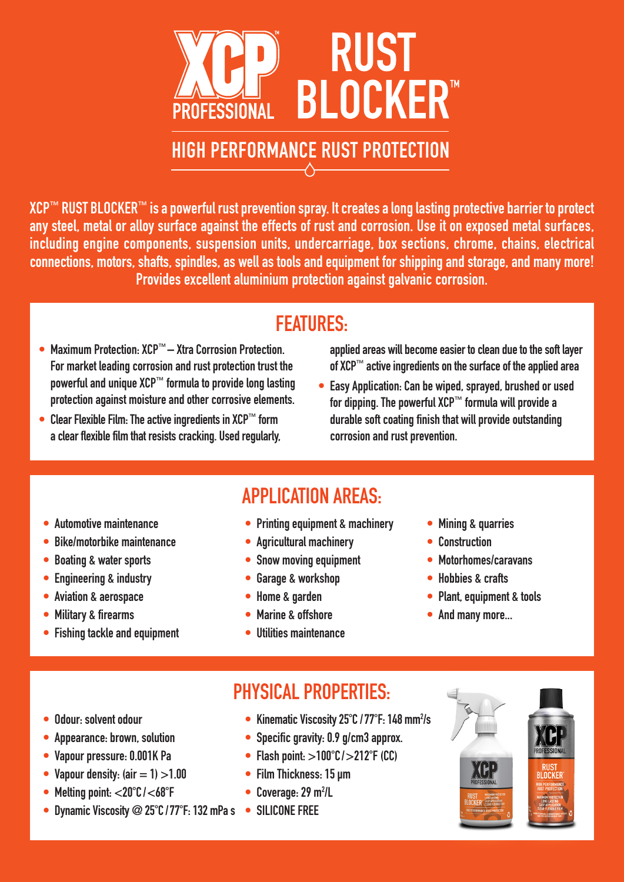

### HIGH PERFORMANCE RUST PROTECTION

XCP™ RUST BLOCKER™ is a powerful rust prevention spray. It creates a long lasting protective barrier to protect any steel, metal or alloy surface against the effects of rust and corrosion. Use it on exposed metal surfaces, including engine components, suspension units, undercarriage, box sections, chrome, chains, electrical connections, motors, shafts, spindles, as well as tools and equipment for shipping and storage, and many more! Provides excellent aluminium protection against galvanic corrosion.

# FEATURES:

- Maximum Protection: XCP™ Xtra Corrosion Protection. For market leading corrosion and rust protection trust the powerful and unique XCP™ formula to provide long lasting protection against moisture and other corrosive elements.
- Clear Flexible Film: The active ingredients in XCP™ form a clear flexible film that resists cracking. Used regularly,

 applied areas will become easier to clean due to the soft layer of XCP™ active ingredients on the surface of the applied area

• Easy Application: Can be wiped, sprayed, brushed or used for dipping. The powerful XCP™ formula will provide a durable soft coating finish that will provide outstanding corrosion and rust prevention.

- Automotive maintenance
- Bike/motorbike maintenance
- Boating & water sports
- Engineering & industry
- Aviation & aerospace
- Military & firearms
- Fishing tackle and equipment

• Printing equipment & machinery

APPLICATION AREAS:

- Agricultural machinery
- Snow moving equipment
- Garage & workshop
- Home & garden
- Marine & offshore
- Utilities maintenance
- Mining & quarries
- **Construction**
- Motorhomes/caravans
- Hobbies & crafts
- Plant, equipment & tools
- And many more...

- Odour: solvent odour
- Appearance: brown, solution
- Vapour pressure: 0.001K Pa
- Vapour density:  $(air = 1) > 1.00$
- Melting point: <20°C/<68°F
- Dynamic Viscosity @ 25°C / 77°F: 132 mPa s SILICONE FREE
- Kinematic Viscosity 25°C / 77°F: 148 mm<sup>2</sup>/s
- Specific gravity: 0.9 g/cm3 approx.

PHYSICAL PROPERTIES:

- Flash point:  $>100^{\circ}$ C/ $>212^{\circ}$ F (CC)
- Film Thickness: 15 µm
- $\bullet$  Coverage: 29 m<sup>2</sup>/L
-